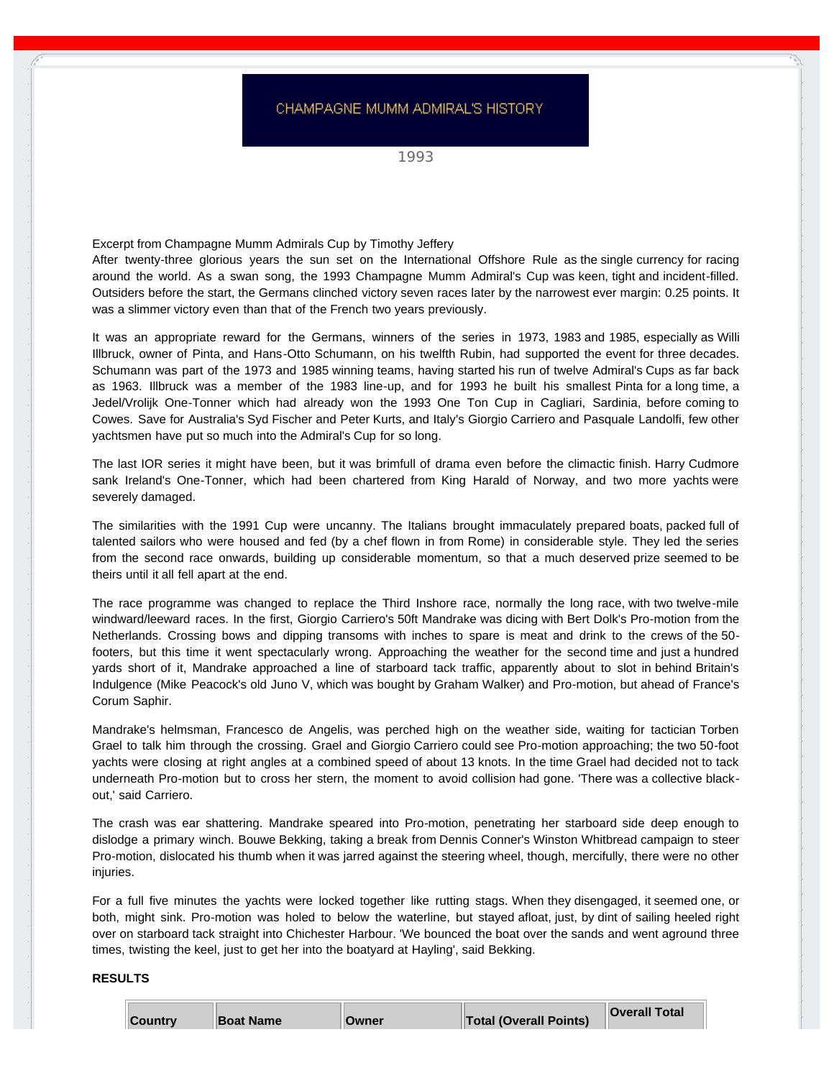## CHAMPAGNE MUMM ADMIRAL'S HISTORY

1993

Excerpt from Champagne Mumm Admirals Cup by Timothy Jeffery

After twenty-three glorious years the sun set on the International Offshore Rule as the single currency for racing around the world. As a swan song, the 1993 Champagne Mumm Admiral's Cup was keen, tight and incident-filled. Outsiders before the start, the Germans clinched victory seven races later by the narrowest ever margin: 0.25 points. It was a slimmer victory even than that of the French two years previously.

It was an appropriate reward for the Germans, winners of the series in 1973, 1983 and 1985, especially as Willi Illbruck, owner of Pinta, and Hans-Otto Schumann, on his twelfth Rubin, had supported the event for three decades. Schumann was part of the 1973 and 1985 winning teams, having started his run of twelve Admiral's Cups as far back as 1963. Illbruck was a member of the 1983 line-up, and for 1993 he built his smallest Pinta for a long time, a Jedel/Vrolijk One-Tonner which had already won the 1993 One Ton Cup in Cagliari, Sardinia, before coming to Cowes. Save for Australia's Syd Fischer and Peter Kurts, and Italy's Giorgio Carriero and Pasquale Landolfi, few other yachtsmen have put so much into the Admiral's Cup for so long.

The last IOR series it might have been, but it was brimfull of drama even before the climactic finish. Harry Cudmore sank Ireland's One-Tonner, which had been chartered from King Harald of Norway, and two more yachts were severely damaged.

The similarities with the 1991 Cup were uncanny. The Italians brought immaculately prepared boats, packed full of talented sailors who were housed and fed (by a chef flown in from Rome) in considerable style. They led the series from the second race onwards, building up considerable momentum, so that a much deserved prize seemed to be theirs until it all fell apart at the end.

The race programme was changed to replace the Third Inshore race, normally the long race, with two twelve-mile windward/leeward races. In the first, Giorgio Carriero's 50ft Mandrake was dicing with Bert Dolk's Pro-motion from the Netherlands. Crossing bows and dipping transoms with inches to spare is meat and drink to the crews of the 50 footers, but this time it went spectacularly wrong. Approaching the weather for the second time and just a hundred yards short of it, Mandrake approached a line of starboard tack traffic, apparently about to slot in behind Britain's Indulgence (Mike Peacock's old Juno V, which was bought by Graham Walker) and Pro-motion, but ahead of France's Corum Saphir.

Mandrake's helmsman, Francesco de Angelis, was perched high on the weather side, waiting for tactician Torben Grael to talk him through the crossing. Grael and Giorgio Carriero could see Pro-motion approaching; the two 50-foot yachts were closing at right angles at a combined speed of about 13 knots. In the time Grael had decided not to tack underneath Pro-motion but to cross her stern, the moment to avoid collision had gone. 'There was a collective blackout,' said Carriero.

The crash was ear shattering. Mandrake speared into Pro-motion, penetrating her starboard side deep enough to dislodge a primary winch. Bouwe Bekking, taking a break from Dennis Conner's Winston Whitbread campaign to steer Pro-motion, dislocated his thumb when it was jarred against the steering wheel, though, mercifully, there were no other injuries.

For a full five minutes the yachts were locked together like rutting stags. When they disengaged, it seemed one, or both, might sink. Pro-motion was holed to below the waterline, but stayed afloat, just, by dint of sailing heeled right over on starboard tack straight into Chichester Harbour. 'We bounced the boat over the sands and went aground three times, twisting the keel, just to get her into the boatyard at Hayling', said Bekking.

## **RESULTS**

| <b>Country</b> | <b>Boat Name</b> | <b>Owner</b> | <b>Total (Overall Points)</b> | <b>Overall Total</b> |  |
|----------------|------------------|--------------|-------------------------------|----------------------|--|
|----------------|------------------|--------------|-------------------------------|----------------------|--|